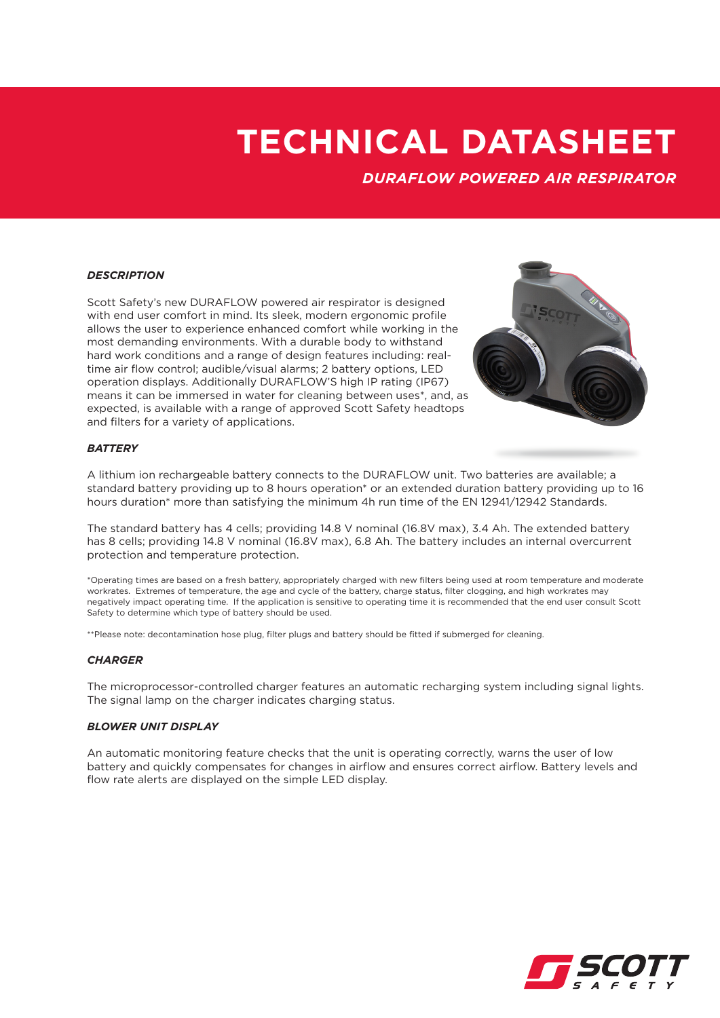*DURAFLOW POWERED AIR RESPIRATOR*

#### *DESCRIPTION*

Scott Safety's new DURAFLOW powered air respirator is designed with end user comfort in mind. Its sleek, modern ergonomic profile allows the user to experience enhanced comfort while working in the most demanding environments. With a durable body to withstand hard work conditions and a range of design features including: realtime air flow control; audible/visual alarms; 2 battery options, LED operation displays. Additionally DURAFLOW'S high IP rating (IP67) means it can be immersed in water for cleaning between uses\*, and, as expected, is available with a range of approved Scott Safety headtops and filters for a variety of applications.



## *BATTERY*

A lithium ion rechargeable battery connects to the DURAFLOW unit. Two batteries are available; a standard battery providing up to 8 hours operation\* or an extended duration battery providing up to 16 hours duration\* more than satisfying the minimum 4h run time of the EN 12941/12942 Standards.

The standard battery has 4 cells; providing 14.8 V nominal (16.8V max), 3.4 Ah. The extended battery has 8 cells; providing 14.8 V nominal (16.8V max), 6.8 Ah. The battery includes an internal overcurrent protection and temperature protection.

\*Operating times are based on a fresh battery, appropriately charged with new filters being used at room temperature and moderate workrates. Extremes of temperature, the age and cycle of the battery, charge status, filter clogging, and high workrates may negatively impact operating time. If the application is sensitive to operating time it is recommended that the end user consult Scott Safety to determine which type of battery should be used.

\*\*Please note: decontamination hose plug, filter plugs and battery should be fitted if submerged for cleaning.

#### *CHARGER*

The microprocessor-controlled charger features an automatic recharging system including signal lights. The signal lamp on the charger indicates charging status.

#### *BLOWER UNIT DISPLAY*

An automatic monitoring feature checks that the unit is operating correctly, warns the user of low battery and quickly compensates for changes in airflow and ensures correct airflow. Battery levels and flow rate alerts are displayed on the simple LED display.

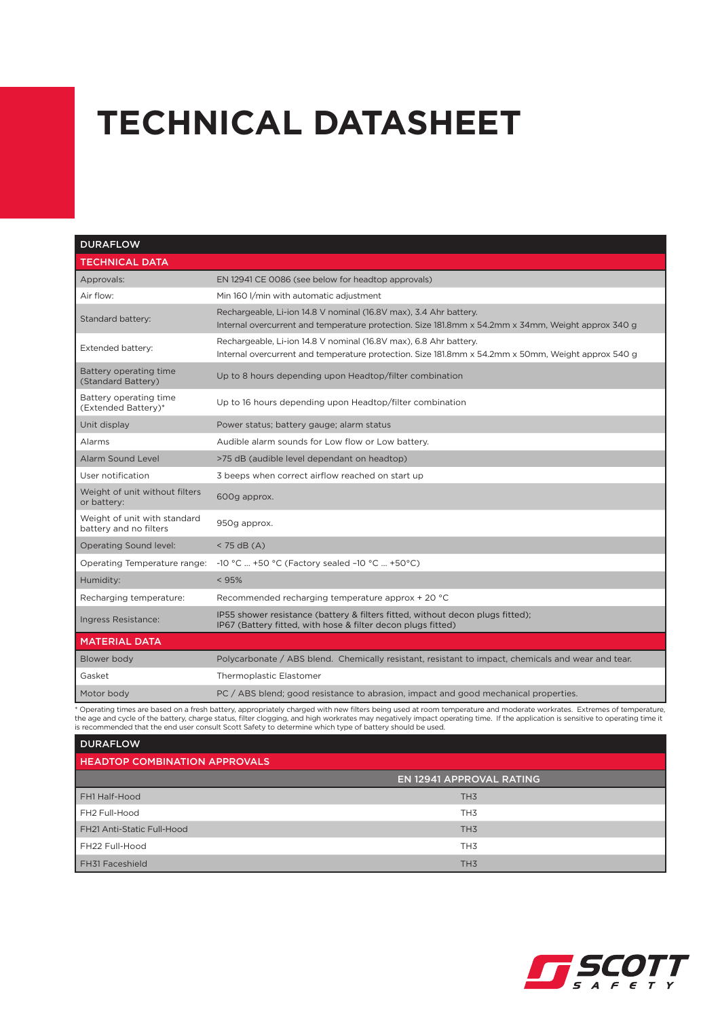| <b>DURAFLOW</b>                                        |                                                                                                                                                                         |
|--------------------------------------------------------|-------------------------------------------------------------------------------------------------------------------------------------------------------------------------|
| <b>TECHNICAL DATA</b>                                  |                                                                                                                                                                         |
| Approvals:                                             | EN 12941 CE 0086 (see below for headtop approvals)                                                                                                                      |
| Air flow:                                              | Min 160 I/min with automatic adjustment                                                                                                                                 |
| Standard battery:                                      | Rechargeable, Li-ion 14.8 V nominal (16.8V max), 3.4 Ahr battery.<br>Internal overcurrent and temperature protection. Size 181.8mm x 54.2mm x 34mm, Weight approx 340 g |
| Extended battery:                                      | Rechargeable, Li-ion 14.8 V nominal (16.8V max), 6.8 Ahr battery.<br>Internal overcurrent and temperature protection. Size 181.8mm x 54.2mm x 50mm, Weight approx 540 g |
| Battery operating time<br>(Standard Battery)           | Up to 8 hours depending upon Headtop/filter combination                                                                                                                 |
| Battery operating time<br>(Extended Battery)*          | Up to 16 hours depending upon Headtop/filter combination                                                                                                                |
| Unit display                                           | Power status; battery gauge; alarm status                                                                                                                               |
| Alarms                                                 | Audible alarm sounds for Low flow or Low battery.                                                                                                                       |
| Alarm Sound Level                                      | >75 dB (audible level dependant on headtop)                                                                                                                             |
| User notification                                      | 3 beeps when correct airflow reached on start up                                                                                                                        |
| Weight of unit without filters<br>or battery:          | 600g approx.                                                                                                                                                            |
| Weight of unit with standard<br>battery and no filters | 950g approx.                                                                                                                                                            |
| <b>Operating Sound level:</b>                          | $<$ 75 dB (A)                                                                                                                                                           |
| Operating Temperature range:                           | -10 °C  +50 °C (Factory sealed -10 °C  +50°C)                                                                                                                           |
| Humidity:                                              | < 95%                                                                                                                                                                   |
| Recharging temperature:                                | Recommended recharging temperature approx + 20 °C                                                                                                                       |
| Ingress Resistance:                                    | IP55 shower resistance (battery & filters fitted, without decon plugs fitted);<br>IP67 (Battery fitted, with hose & filter decon plugs fitted)                          |
| <b>MATERIAL DATA</b>                                   |                                                                                                                                                                         |
| Blower body                                            | Polycarbonate / ABS blend. Chemically resistant, resistant to impact, chemicals and wear and tear.                                                                      |
| Gasket                                                 | Thermoplastic Elastomer                                                                                                                                                 |
| Motor body                                             | PC / ABS blend; good resistance to abrasion, impact and good mechanical properties.                                                                                     |

\* Operating times are based on a fresh battery, appropriately charged with new filters being used at room temperature and moderate workrates. Extremes of temperature,<br>the age and cycle of the battery, charge status, filter

| <b>DURAFLOW</b>                      |                                 |  |
|--------------------------------------|---------------------------------|--|
| <b>HEADTOP COMBINATION APPROVALS</b> |                                 |  |
|                                      | <b>EN 12941 APPROVAL RATING</b> |  |
| FH1 Half-Hood                        | TH <sub>3</sub>                 |  |
| FH2 Full-Hood                        | TH <sub>3</sub>                 |  |
| FH21 Anti-Static Full-Hood           | TH <sub>3</sub>                 |  |
| FH22 Full-Hood                       | TH <sub>3</sub>                 |  |
| FH31 Faceshield                      | TH <sub>3</sub>                 |  |

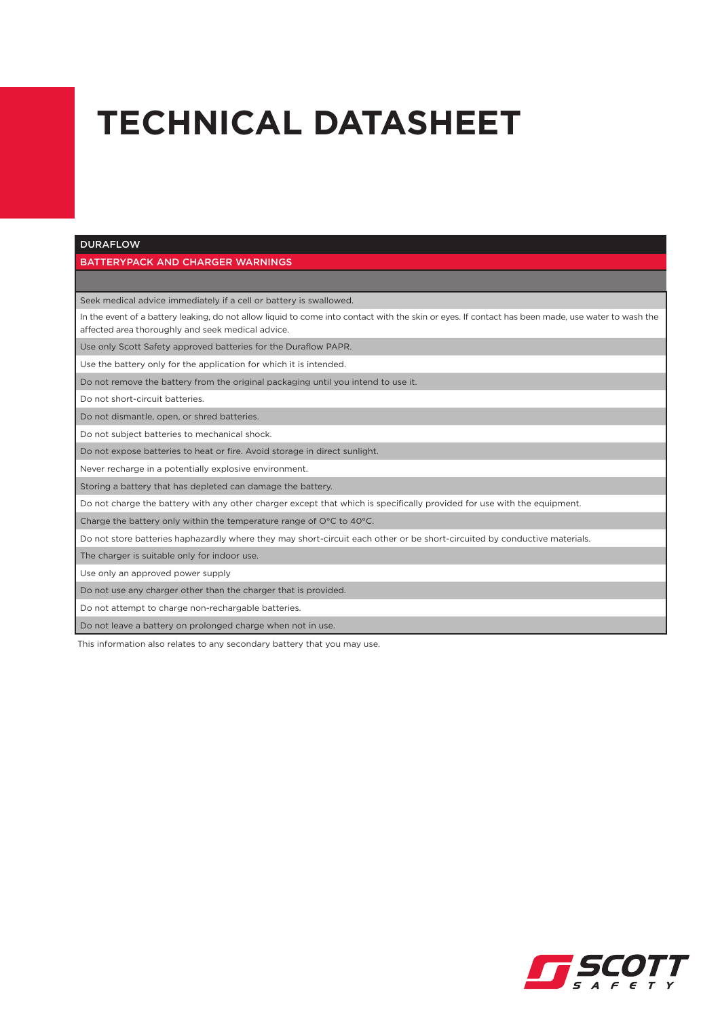#### DURAFLOW

### BATTERYPACK AND CHARGER WARNINGS

Seek medical advice immediately if a cell or battery is swallowed.

In the event of a battery leaking, do not allow liquid to come into contact with the skin or eyes. If contact has been made, use water to wash the affected area thoroughly and seek medical advice.

Use only Scott Safety approved batteries for the Duraflow PAPR.

Use the battery only for the application for which it is intended.

Do not remove the battery from the original packaging until you intend to use it.

Do not short-circuit batteries.

Do not dismantle, open, or shred batteries.

Do not subject batteries to mechanical shock.

Do not expose batteries to heat or fire. Avoid storage in direct sunlight.

Never recharge in a potentially explosive environment.

Storing a battery that has depleted can damage the battery.

Do not charge the battery with any other charger except that which is specifically provided for use with the equipment.

Charge the battery only within the temperature range of O°C to 40°C.

Do not store batteries haphazardly where they may short-circuit each other or be short-circuited by conductive materials.

The charger is suitable only for indoor use.

Use only an approved power supply

Do not use any charger other than the charger that is provided.

Do not attempt to charge non-rechargable batteries.

Do not leave a battery on prolonged charge when not in use.

This information also relates to any secondary battery that you may use.